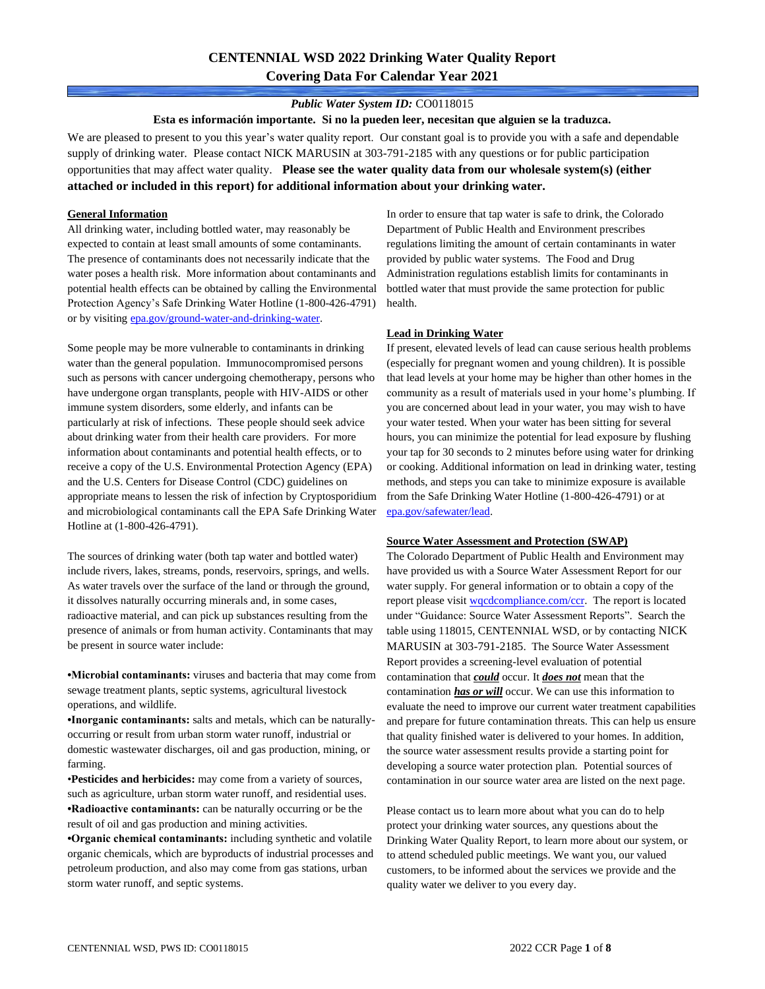## *Public Water System ID:* CO0118015

**Esta es información importante. Si no la pueden leer, necesitan que alguien se la traduzca.**

We are pleased to present to you this year's water quality report. Our constant goal is to provide you with a safe and dependable supply of drinking water. Please contact NICK MARUSIN at 303-791-2185 with any questions or for public participation opportunities that may affect water quality. **Please see the water quality data from our wholesale system(s) (either attached or included in this report) for additional information about your drinking water.**

### **General Information**

All drinking water, including bottled water, may reasonably be expected to contain at least small amounts of some contaminants. The presence of contaminants does not necessarily indicate that the water poses a health risk. More information about contaminants and potential health effects can be obtained by calling the Environmental Protection Agency's Safe Drinking Water Hotline (1-800-426-4791) or by visiting [epa.gov/ground-water-and-drinking-water.](https://www.epa.gov/ground-water-and-drinking-water)

Some people may be more vulnerable to contaminants in drinking water than the general population. Immunocompromised persons such as persons with cancer undergoing chemotherapy, persons who have undergone organ transplants, people with HIV-AIDS or other immune system disorders, some elderly, and infants can be particularly at risk of infections. These people should seek advice about drinking water from their health care providers. For more information about contaminants and potential health effects, or to receive a copy of the U.S. Environmental Protection Agency (EPA) and the U.S. Centers for Disease Control (CDC) guidelines on appropriate means to lessen the risk of infection by Cryptosporidium and microbiological contaminants call the EPA Safe Drinking Water Hotline at (1-800-426-4791).

The sources of drinking water (both tap water and bottled water) include rivers, lakes, streams, ponds, reservoirs, springs, and wells. As water travels over the surface of the land or through the ground, it dissolves naturally occurring minerals and, in some cases, radioactive material, and can pick up substances resulting from the presence of animals or from human activity. Contaminants that may be present in source water include:

**•Microbial contaminants:** viruses and bacteria that may come from sewage treatment plants, septic systems, agricultural livestock operations, and wildlife.

**•Inorganic contaminants:** salts and metals, which can be naturallyoccurring or result from urban storm water runoff, industrial or domestic wastewater discharges, oil and gas production, mining, or farming.

•**Pesticides and herbicides:** may come from a variety of sources, such as agriculture, urban storm water runoff, and residential uses. **•Radioactive contaminants:** can be naturally occurring or be the result of oil and gas production and mining activities.

**•Organic chemical contaminants:** including synthetic and volatile organic chemicals, which are byproducts of industrial processes and petroleum production, and also may come from gas stations, urban storm water runoff, and septic systems.

In order to ensure that tap water is safe to drink, the Colorado Department of Public Health and Environment prescribes regulations limiting the amount of certain contaminants in water provided by public water systems. The Food and Drug Administration regulations establish limits for contaminants in bottled water that must provide the same protection for public health.

#### **Lead in Drinking Water**

If present, elevated levels of lead can cause serious health problems (especially for pregnant women and young children). It is possible that lead levels at your home may be higher than other homes in the community as a result of materials used in your home's plumbing. If you are concerned about lead in your water, you may wish to have your water tested. When your water has been sitting for several hours, you can minimize the potential for lead exposure by flushing your tap for 30 seconds to 2 minutes before using water for drinking or cooking. Additional information on lead in drinking water, testing methods, and steps you can take to minimize exposure is available from the Safe Drinking Water Hotline (1-800-426-4791) or at [epa.gov/safewater/lead.](http://www.epa.gov/safewater/lead) 

#### **Source Water Assessment and Protection (SWAP)**

The Colorado Department of Public Health and Environment may have provided us with a Source Water Assessment Report for our water supply. For general information or to obtain a copy of the report please visit [wqcdcompliance.com/ccr.](https://wqcdcompliance.com/ccr) The report is located under "Guidance: Source Water Assessment Reports". Search the table using 118015, CENTENNIAL WSD, or by contacting NICK MARUSIN at 303-791-2185. The Source Water Assessment Report provides a screening-level evaluation of potential contamination that *could* occur. It *does not* mean that the contamination *has or will* occur. We can use this information to evaluate the need to improve our current water treatment capabilities and prepare for future contamination threats. This can help us ensure that quality finished water is delivered to your homes. In addition, the source water assessment results provide a starting point for developing a source water protection plan. Potential sources of contamination in our source water area are listed on the next page.

Please contact us to learn more about what you can do to help protect your drinking water sources, any questions about the Drinking Water Quality Report, to learn more about our system, or to attend scheduled public meetings. We want you, our valued customers, to be informed about the services we provide and the quality water we deliver to you every day.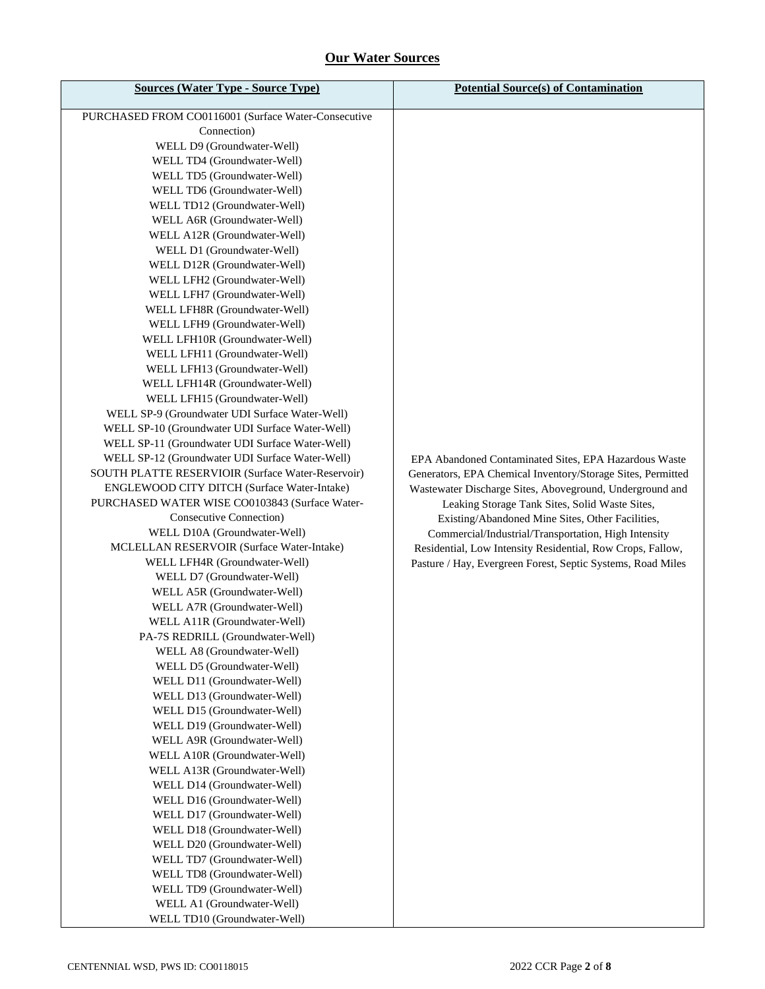# **Our Water Sources**

| <b>Sources (Water Type - Source Type)</b>                                                                                                                                                                                                                                                                                                                                                                                                                                                                                                                                                                                                                                                                                                                                                                                                                                                                                                                                                                                                                                                              | <b>Potential Source(s) of Contamination</b>                                                                                                                                                                                                                                            |
|--------------------------------------------------------------------------------------------------------------------------------------------------------------------------------------------------------------------------------------------------------------------------------------------------------------------------------------------------------------------------------------------------------------------------------------------------------------------------------------------------------------------------------------------------------------------------------------------------------------------------------------------------------------------------------------------------------------------------------------------------------------------------------------------------------------------------------------------------------------------------------------------------------------------------------------------------------------------------------------------------------------------------------------------------------------------------------------------------------|----------------------------------------------------------------------------------------------------------------------------------------------------------------------------------------------------------------------------------------------------------------------------------------|
| PURCHASED FROM CO0116001 (Surface Water-Consecutive<br>Connection)<br>WELL D9 (Groundwater-Well)<br>WELL TD4 (Groundwater-Well)<br>WELL TD5 (Groundwater-Well)<br>WELL TD6 (Groundwater-Well)<br>WELL TD12 (Groundwater-Well)<br>WELL A6R (Groundwater-Well)<br>WELL A12R (Groundwater-Well)<br>WELL D1 (Groundwater-Well)<br>WELL D12R (Groundwater-Well)<br>WELL LFH2 (Groundwater-Well)<br>WELL LFH7 (Groundwater-Well)<br>WELL LFH8R (Groundwater-Well)<br>WELL LFH9 (Groundwater-Well)<br>WELL LFH10R (Groundwater-Well)<br>WELL LFH11 (Groundwater-Well)<br>WELL LFH13 (Groundwater-Well)<br>WELL LFH14R (Groundwater-Well)<br>WELL LFH15 (Groundwater-Well)<br>WELL SP-9 (Groundwater UDI Surface Water-Well)<br>WELL SP-10 (Groundwater UDI Surface Water-Well)<br>WELL SP-11 (Groundwater UDI Surface Water-Well)<br>WELL SP-12 (Groundwater UDI Surface Water-Well)<br>SOUTH PLATTE RESERVIOIR (Surface Water-Reservoir)<br>ENGLEWOOD CITY DITCH (Surface Water-Intake)<br>PURCHASED WATER WISE CO0103843 (Surface Water-<br><b>Consecutive Connection</b> )<br>WELL D10A (Groundwater-Well) | EPA Abandoned Contaminated Sites, EPA Hazardous Waste<br>Generators, EPA Chemical Inventory/Storage Sites, Permitted<br>Wastewater Discharge Sites, Aboveground, Underground and<br>Leaking Storage Tank Sites, Solid Waste Sites,<br>Existing/Abandoned Mine Sites, Other Facilities, |
| WELL D7 (Groundwater-Well)<br>WELL A5R (Groundwater-Well)<br>WELL A7R (Groundwater-Well)<br>WELL A11R (Groundwater-Well)<br>PA-7S REDRILL (Groundwater-Well)<br>WELL A8 (Groundwater-Well)<br>WELL D5 (Groundwater-Well)<br>WELL D11 (Groundwater-Well)<br>WELL D13 (Groundwater-Well)<br>WELL D15 (Groundwater-Well)<br>WELL D19 (Groundwater-Well)<br>WELL A9R (Groundwater-Well)<br>WELL A10R (Groundwater-Well)<br>WELL A13R (Groundwater-Well)<br>WELL D14 (Groundwater-Well)<br>WELL D16 (Groundwater-Well)<br>WELL D17 (Groundwater-Well)<br>WELL D18 (Groundwater-Well)<br>WELL D20 (Groundwater-Well)<br>WELL TD7 (Groundwater-Well)<br>WELL TD8 (Groundwater-Well)<br>WELL TD9 (Groundwater-Well)<br>WELL A1 (Groundwater-Well)<br>WELL TD10 (Groundwater-Well)                                                                                                                                                                                                                                                                                                                              |                                                                                                                                                                                                                                                                                        |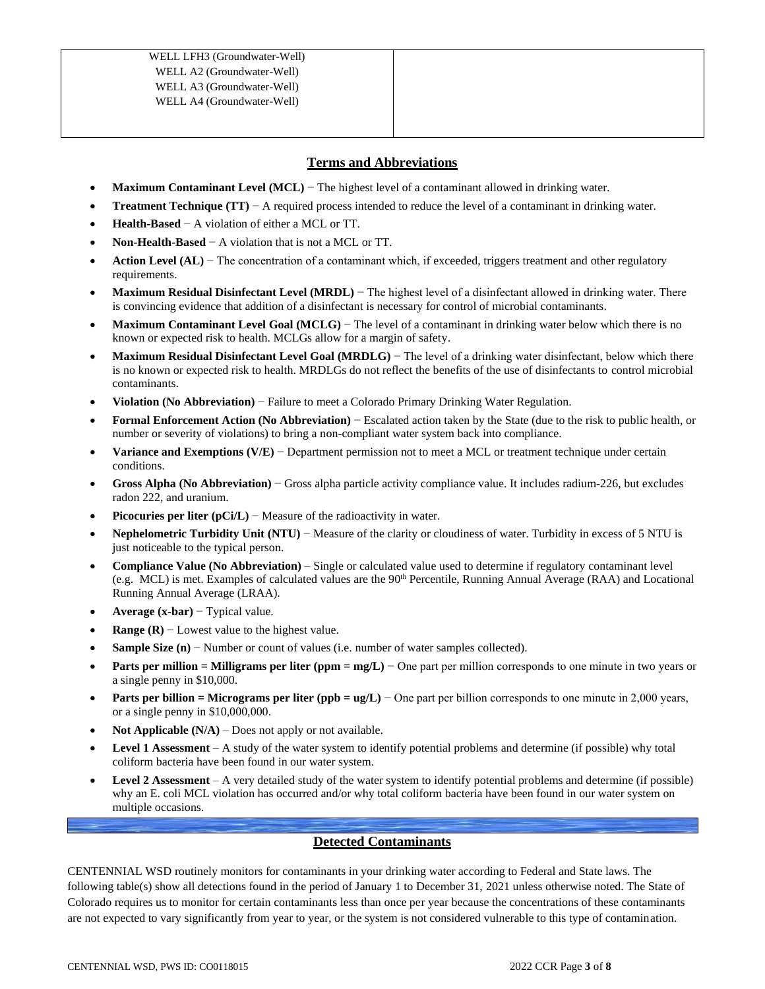## **Terms and Abbreviations**

- **Maximum Contaminant Level (MCL)** − The highest level of a contaminant allowed in drinking water.
- **Treatment Technique (TT)** − A required process intended to reduce the level of a contaminant in drinking water.
- **Health-Based** − A violation of either a MCL or TT.
- **Non-Health-Based** − A violation that is not a MCL or TT.
- **Action Level (AL)** − The concentration of a contaminant which, if exceeded, triggers treatment and other regulatory requirements.
- **Maximum Residual Disinfectant Level (MRDL)** − The highest level of a disinfectant allowed in drinking water. There is convincing evidence that addition of a disinfectant is necessary for control of microbial contaminants.
- **Maximum Contaminant Level Goal (MCLG)** − The level of a contaminant in drinking water below which there is no known or expected risk to health. MCLGs allow for a margin of safety.
- **Maximum Residual Disinfectant Level Goal (MRDLG)** − The level of a drinking water disinfectant, below which there is no known or expected risk to health. MRDLGs do not reflect the benefits of the use of disinfectants to control microbial contaminants.
- **Violation (No Abbreviation)** − Failure to meet a Colorado Primary Drinking Water Regulation.
- **Formal Enforcement Action (No Abbreviation)** − Escalated action taken by the State (due to the risk to public health, or number or severity of violations) to bring a non-compliant water system back into compliance.
- **Variance and Exemptions (V/E)** − Department permission not to meet a MCL or treatment technique under certain conditions.
- **Gross Alpha (No Abbreviation)** − Gross alpha particle activity compliance value. It includes radium-226, but excludes radon 222, and uranium.
- **Picocuries per liter (pCi/L)** − Measure of the radioactivity in water.
- **Nephelometric Turbidity Unit (NTU)** − Measure of the clarity or cloudiness of water. Turbidity in excess of 5 NTU is just noticeable to the typical person.
- **Compliance Value (No Abbreviation)** Single or calculated value used to determine if regulatory contaminant level (e.g. MCL) is met. Examples of calculated values are the  $90<sup>th</sup>$  Percentile, Running Annual Average (RAA) and Locational Running Annual Average (LRAA).
- **Average (x-bar)** − Typical value.
- **Range (R)**  $-$  Lowest value to the highest value.
- **Sample Size (n)** − Number or count of values (i.e. number of water samples collected).
- **Parts per million = Milligrams per liter (ppm = mg/L)** − One part per million corresponds to one minute in two years or a single penny in \$10,000.
- **Parts per billion = Micrograms per liter (ppb = ug/L)** − One part per billion corresponds to one minute in 2,000 years, or a single penny in \$10,000,000.
- **Not Applicable**  $(N/A)$  Does not apply or not available.
- **Level 1 Assessment** A study of the water system to identify potential problems and determine (if possible) why total coliform bacteria have been found in our water system.
- **Level 2 Assessment** A very detailed study of the water system to identify potential problems and determine (if possible) why an E. coli MCL violation has occurred and/or why total coliform bacteria have been found in our water system on multiple occasions.

## **Detected Contaminants**

CENTENNIAL WSD routinely monitors for contaminants in your drinking water according to Federal and State laws. The following table(s) show all detections found in the period of January 1 to December 31, 2021 unless otherwise noted. The State of Colorado requires us to monitor for certain contaminants less than once per year because the concentrations of these contaminants are not expected to vary significantly from year to year, or the system is not considered vulnerable to this type of contamination.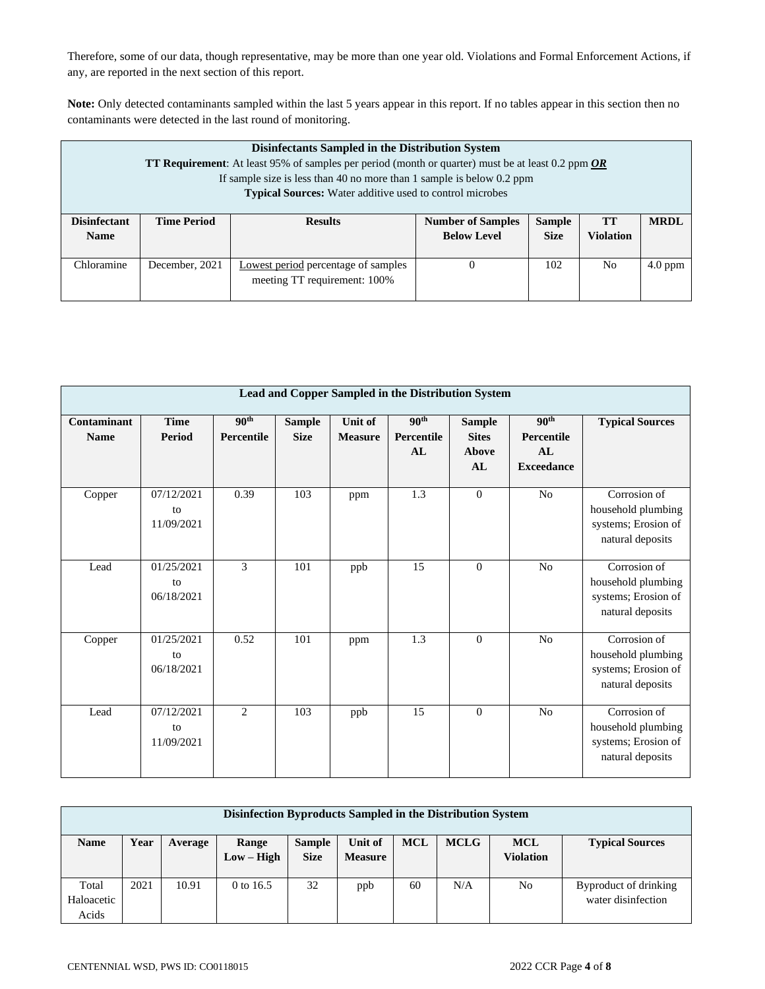Therefore, some of our data, though representative, may be more than one year old. Violations and Formal Enforcement Actions, if any, are reported in the next section of this report.

**Note:** Only detected contaminants sampled within the last 5 years appear in this report. If no tables appear in this section then no contaminants were detected in the last round of monitoring.

|                                    | Disinfectants Sampled in the Distribution System<br><b>TT Requirement:</b> At least 95% of samples per period (month or quarter) must be at least 0.2 ppm OR<br>If sample size is less than 40 no more than 1 sample is below $0.2$ ppm<br><b>Typical Sources:</b> Water additive used to control microbes |                |                                                                                                                         |  |  |  |  |  |  |  |
|------------------------------------|------------------------------------------------------------------------------------------------------------------------------------------------------------------------------------------------------------------------------------------------------------------------------------------------------------|----------------|-------------------------------------------------------------------------------------------------------------------------|--|--|--|--|--|--|--|
| <b>Disinfectant</b><br><b>Name</b> | <b>Time Period</b>                                                                                                                                                                                                                                                                                         | <b>Results</b> | <b>Number of Samples</b><br><b>Sample</b><br>TT<br><b>MRDL</b><br><b>Violation</b><br><b>Below Level</b><br><b>Size</b> |  |  |  |  |  |  |  |
| Chloramine                         | Lowest period percentage of samples<br>December, 2021<br>102<br>N <sub>0</sub><br>$4.0$ ppm<br>0<br>meeting TT requirement: 100%                                                                                                                                                                           |                |                                                                                                                         |  |  |  |  |  |  |  |

| Lead and Copper Sampled in the Distribution System |                                |                                |                              |                           |                                      |                                              |                                                           |                                                                               |  |  |  |
|----------------------------------------------------|--------------------------------|--------------------------------|------------------------------|---------------------------|--------------------------------------|----------------------------------------------|-----------------------------------------------------------|-------------------------------------------------------------------------------|--|--|--|
| <b>Contaminant</b><br><b>Name</b>                  | <b>Time</b><br>Period          | 90 <sup>th</sup><br>Percentile | <b>Sample</b><br><b>Size</b> | Unit of<br><b>Measure</b> | 90 <sup>th</sup><br>Percentile<br>AL | <b>Sample</b><br><b>Sites</b><br>Above<br>AL | 90 <sup>th</sup><br>Percentile<br>AL<br><b>Exceedance</b> | <b>Typical Sources</b>                                                        |  |  |  |
| Copper                                             | 07/12/2021<br>to<br>11/09/2021 | 0.39                           | 103                          | ppm                       | 1.3                                  | $\Omega$                                     | N <sub>o</sub>                                            | Corrosion of<br>household plumbing<br>systems; Erosion of<br>natural deposits |  |  |  |
| Lead                                               | 01/25/2021<br>to<br>06/18/2021 | 3                              | 101                          | ppb                       | 15                                   | $\theta$                                     | N <sub>o</sub>                                            | Corrosion of<br>household plumbing<br>systems; Erosion of<br>natural deposits |  |  |  |
| Copper                                             | 01/25/2021<br>to<br>06/18/2021 | 0.52                           | 101                          | ppm                       | 1.3                                  | $\Omega$                                     | N <sub>o</sub>                                            | Corrosion of<br>household plumbing<br>systems; Erosion of<br>natural deposits |  |  |  |
| Lead                                               | 07/12/2021<br>to<br>11/09/2021 | 2                              | 103                          | ppb                       | 15                                   | $\overline{0}$                               | N <sub>o</sub>                                            | Corrosion of<br>household plumbing<br>systems; Erosion of<br>natural deposits |  |  |  |

| Disinfection Byproducts Sampled in the Distribution System |                                                                                                                                                                                                |       |             |    |     |    |     |    |                                             |  |
|------------------------------------------------------------|------------------------------------------------------------------------------------------------------------------------------------------------------------------------------------------------|-------|-------------|----|-----|----|-----|----|---------------------------------------------|--|
| <b>Name</b>                                                | <b>MCL</b><br><b>MCLG</b><br><b>MCL</b><br>Unit of<br>Year<br><b>Sample</b><br><b>Typical Sources</b><br>Range<br>Average<br><b>Size</b><br>$Low - High$<br><b>Violation</b><br><b>Measure</b> |       |             |    |     |    |     |    |                                             |  |
| Total<br>Haloacetic<br>Acids                               | 2021                                                                                                                                                                                           | 10.91 | 0 to $16.5$ | 32 | ppb | 60 | N/A | No | Byproduct of drinking<br>water disinfection |  |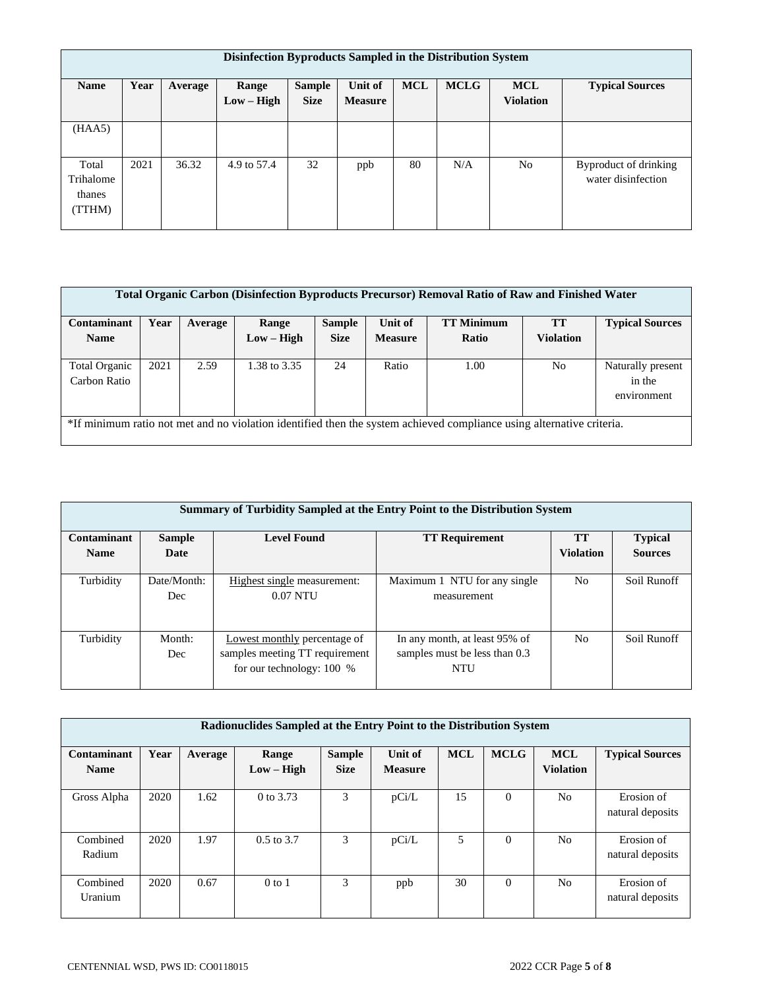|                                        | Disinfection Byproducts Sampled in the Distribution System |         |                       |                              |                           |            |             |                                |                                             |  |  |
|----------------------------------------|------------------------------------------------------------|---------|-----------------------|------------------------------|---------------------------|------------|-------------|--------------------------------|---------------------------------------------|--|--|
| <b>Name</b>                            | Year                                                       | Average | Range<br>$Low - High$ | <b>Sample</b><br><b>Size</b> | Unit of<br><b>Measure</b> | <b>MCL</b> | <b>MCLG</b> | <b>MCL</b><br><b>Violation</b> | <b>Typical Sources</b>                      |  |  |
| (HAA5)                                 |                                                            |         |                       |                              |                           |            |             |                                |                                             |  |  |
| Total<br>Trihalome<br>thanes<br>(TTHM) | 2021                                                       | 36.32   | 4.9 to 57.4           | 32                           | ppb                       | 80         | N/A         | N <sub>o</sub>                 | Byproduct of drinking<br>water disinfection |  |  |

| <b>Total Organic Carbon (Disinfection Byproducts Precursor) Removal Ratio of Raw and Finished Water</b> |                                                                                                                       |         |              |               |                |                   |           |                             |  |  |
|---------------------------------------------------------------------------------------------------------|-----------------------------------------------------------------------------------------------------------------------|---------|--------------|---------------|----------------|-------------------|-----------|-----------------------------|--|--|
| Contaminant                                                                                             | Year                                                                                                                  | Average | Range        | <b>Sample</b> | Unit of        | <b>TT Minimum</b> | <b>TT</b> | <b>Typical Sources</b>      |  |  |
| <b>Name</b>                                                                                             |                                                                                                                       |         | $Low - High$ | <b>Size</b>   | <b>Measure</b> | Ratio             | Violation |                             |  |  |
| Total Organic<br>Carbon Ratio                                                                           | 2021                                                                                                                  | 2.59    | 1.38 to 3.35 | 24            | Ratio          | 1.00              | No        | Naturally present<br>in the |  |  |
|                                                                                                         |                                                                                                                       |         |              |               |                |                   |           | environment                 |  |  |
|                                                                                                         | *If minimum ratio not met and no violation identified then the system achieved compliance using alternative criteria. |         |              |               |                |                   |           |                             |  |  |

|                            | Summary of Turbidity Sampled at the Entry Point to the Distribution System |                                                                                               |                                                                              |                               |                                  |  |  |  |  |  |  |
|----------------------------|----------------------------------------------------------------------------|-----------------------------------------------------------------------------------------------|------------------------------------------------------------------------------|-------------------------------|----------------------------------|--|--|--|--|--|--|
| Contaminant<br><b>Name</b> | <b>Sample</b><br>Date                                                      | <b>Level Found</b><br><b>TT Requirement</b>                                                   |                                                                              | <b>TT</b><br><b>Violation</b> | <b>Typical</b><br><b>Sources</b> |  |  |  |  |  |  |
|                            |                                                                            |                                                                                               |                                                                              |                               |                                  |  |  |  |  |  |  |
| Turbidity                  | Date/Month:<br>Dec                                                         | Highest single measurement:<br>$0.07$ NTU                                                     | Maximum 1 NTU for any single<br>measurement                                  | N <sub>0</sub>                | Soil Runoff                      |  |  |  |  |  |  |
| Turbidity                  | Month:<br>Dec                                                              | Lowest monthly percentage of<br>samples meeting TT requirement<br>for our technology: $100\%$ | In any month, at least 95% of<br>samples must be less than 0.3<br><b>NTU</b> | N <sub>0</sub>                | Soil Runoff                      |  |  |  |  |  |  |

| Radionuclides Sampled at the Entry Point to the Distribution System |      |         |                       |                              |                           |            |             |                                |                                |  |
|---------------------------------------------------------------------|------|---------|-----------------------|------------------------------|---------------------------|------------|-------------|--------------------------------|--------------------------------|--|
| Contaminant<br><b>Name</b>                                          | Year | Average | Range<br>$Low - High$ | <b>Sample</b><br><b>Size</b> | Unit of<br><b>Measure</b> | <b>MCL</b> | <b>MCLG</b> | <b>MCL</b><br><b>Violation</b> | <b>Typical Sources</b>         |  |
| Gross Alpha                                                         | 2020 | 1.62    | 0 to 3.73             | 3                            | pCi/L                     | 15         | $\Omega$    | No                             | Erosion of<br>natural deposits |  |
| Combined<br>Radium                                                  | 2020 | 1.97    | $0.5$ to 3.7          | 3                            | pCi/L                     | 5          | $\Omega$    | N <sub>0</sub>                 | Erosion of<br>natural deposits |  |
| Combined<br>Uranium                                                 | 2020 | 0.67    | $0$ to 1              | 3                            | ppb                       | 30         | $\Omega$    | N <sub>0</sub>                 | Erosion of<br>natural deposits |  |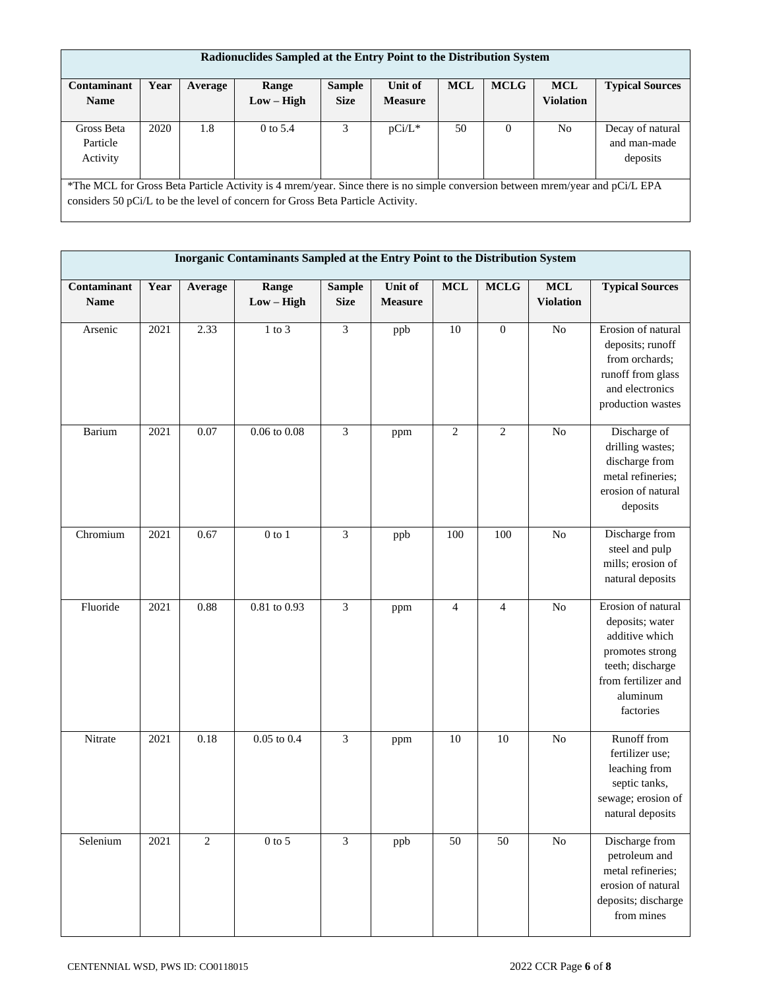|                                                                                                                               | Radionuclides Sampled at the Entry Point to the Distribution System |         |                                                                                 |               |                |            |             |                  |                        |  |
|-------------------------------------------------------------------------------------------------------------------------------|---------------------------------------------------------------------|---------|---------------------------------------------------------------------------------|---------------|----------------|------------|-------------|------------------|------------------------|--|
|                                                                                                                               |                                                                     |         |                                                                                 |               |                |            |             |                  |                        |  |
| Contaminant                                                                                                                   | Year                                                                | Average | Range                                                                           | <b>Sample</b> | Unit of        | <b>MCL</b> | <b>MCLG</b> | <b>MCL</b>       | <b>Typical Sources</b> |  |
| <b>Name</b>                                                                                                                   |                                                                     |         | $Low - High$                                                                    | <b>Size</b>   | <b>Measure</b> |            |             | <b>Violation</b> |                        |  |
|                                                                                                                               |                                                                     |         |                                                                                 |               |                |            |             |                  |                        |  |
| Gross Beta                                                                                                                    | 2020                                                                | 1.8     | $0$ to 5.4                                                                      | 3             | $pCi/L^*$      | 50         | $\Omega$    | No               | Decay of natural       |  |
| Particle                                                                                                                      |                                                                     |         |                                                                                 |               |                |            |             |                  | and man-made           |  |
| Activity                                                                                                                      |                                                                     |         |                                                                                 |               |                |            |             |                  | deposits               |  |
|                                                                                                                               |                                                                     |         |                                                                                 |               |                |            |             |                  |                        |  |
| *The MCL for Gross Beta Particle Activity is 4 mrem/year. Since there is no simple conversion between mrem/year and pCi/L EPA |                                                                     |         |                                                                                 |               |                |            |             |                  |                        |  |
|                                                                                                                               |                                                                     |         | considers 50 pCi/L to be the level of concern for Gross Beta Particle Activity. |               |                |            |             |                  |                        |  |

|                            | Inorganic Contaminants Sampled at the Entry Point to the Distribution System |                |                       |                              |                           |                 |                |                                |                                                                                                                                                |  |  |
|----------------------------|------------------------------------------------------------------------------|----------------|-----------------------|------------------------------|---------------------------|-----------------|----------------|--------------------------------|------------------------------------------------------------------------------------------------------------------------------------------------|--|--|
| Contaminant<br><b>Name</b> | Year                                                                         | Average        | Range<br>$Low - High$ | <b>Sample</b><br><b>Size</b> | Unit of<br><b>Measure</b> | <b>MCL</b>      | <b>MCLG</b>    | <b>MCL</b><br><b>Violation</b> | <b>Typical Sources</b>                                                                                                                         |  |  |
| Arsenic                    | 2021                                                                         | 2.33           | $1$ to $3$            | $\mathfrak{Z}$               | ppb                       | 10              | $\mathbf{0}$   | No                             | Erosion of natural<br>deposits; runoff<br>from orchards;<br>runoff from glass<br>and electronics<br>production wastes                          |  |  |
| Barium                     | 2021                                                                         | 0.07           | $0.06$ to $0.08$      | $\overline{3}$               | ppm                       | $\overline{2}$  | $\mathbf{2}$   | No                             | Discharge of<br>drilling wastes;<br>discharge from<br>metal refineries;<br>erosion of natural<br>deposits                                      |  |  |
| Chromium                   | 2021                                                                         | 0.67           | $0$ to $1\,$          | $\overline{3}$               | ppb                       | 100             | 100            | N <sub>o</sub>                 | Discharge from<br>steel and pulp<br>mills; erosion of<br>natural deposits                                                                      |  |  |
| Fluoride                   | 2021                                                                         | 0.88           | $0.81$ to $0.93$      | $\overline{3}$               | ppm                       | $\overline{4}$  | $\overline{4}$ | No                             | Erosion of natural<br>deposits; water<br>additive which<br>promotes strong<br>teeth; discharge<br>from fertilizer and<br>aluminum<br>factories |  |  |
| Nitrate                    | 2021                                                                         | 0.18           | $0.05$ to $0.4$       | $\overline{\mathbf{3}}$      | ppm                       | 10              | 10             | $\rm No$                       | Runoff from<br>fertilizer use;<br>leaching from<br>septic tanks,<br>sewage; erosion of<br>natural deposits                                     |  |  |
| Selenium                   | 2021                                                                         | $\overline{2}$ | $0$ to 5              | $\overline{3}$               | ppb                       | $\overline{50}$ | 50             | $\rm No$                       | Discharge from<br>petroleum and<br>metal refineries;<br>erosion of natural<br>deposits; discharge<br>from mines                                |  |  |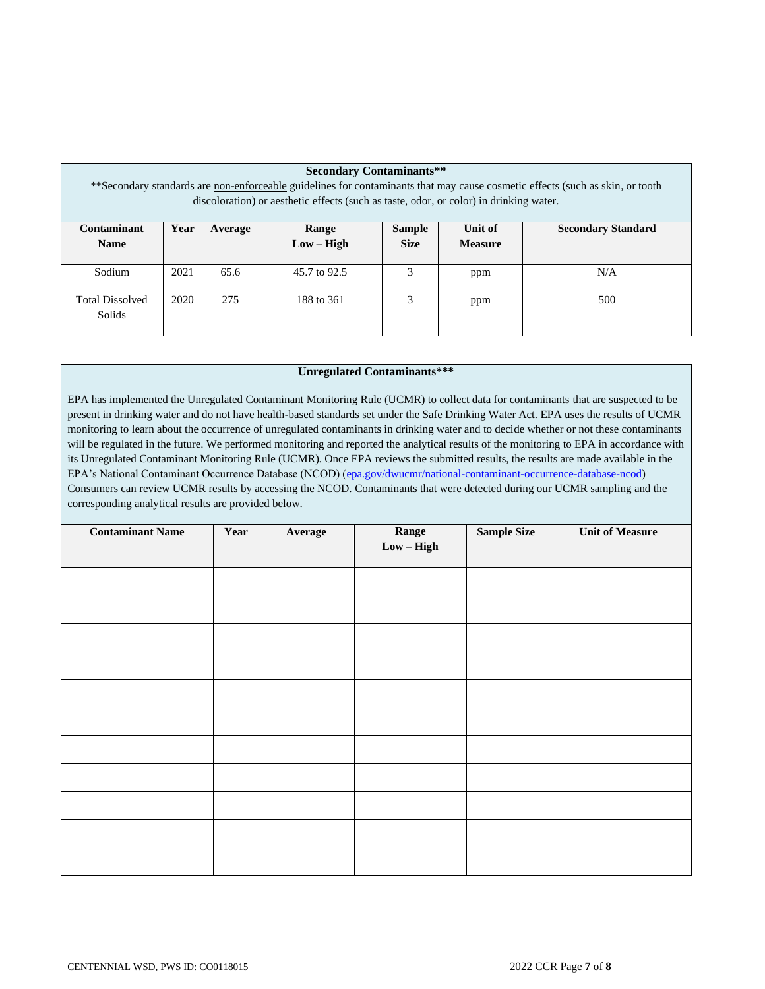| <b>Secondary Contaminants**</b><br>**Secondary standards are non-enforceable guidelines for contaminants that may cause cosmetic effects (such as skin, or tooth<br>discoloration) or aesthetic effects (such as taste, odor, or color) in drinking water. |                                                                                          |      |              |  |     |     |  |  |  |  |  |
|------------------------------------------------------------------------------------------------------------------------------------------------------------------------------------------------------------------------------------------------------------|------------------------------------------------------------------------------------------|------|--------------|--|-----|-----|--|--|--|--|--|
| Contaminant                                                                                                                                                                                                                                                | Year<br>Unit of<br><b>Secondary Standard</b><br><b>Sample</b><br><b>Range</b><br>Average |      |              |  |     |     |  |  |  |  |  |
|                                                                                                                                                                                                                                                            | <b>Size</b><br>$Low - High$<br><b>Name</b><br><b>Measure</b>                             |      |              |  |     |     |  |  |  |  |  |
| Sodium                                                                                                                                                                                                                                                     | 2021                                                                                     | 65.6 | 45.7 to 92.5 |  | ppm | N/A |  |  |  |  |  |
| <b>Total Dissolved</b><br>Solids                                                                                                                                                                                                                           | 3<br>275<br>2020<br>188 to 361<br>500<br>ppm                                             |      |              |  |     |     |  |  |  |  |  |

## **Unregulated Contaminants\*\*\***

EPA has implemented the Unregulated Contaminant Monitoring Rule (UCMR) to collect data for contaminants that are suspected to be present in drinking water and do not have health-based standards set under the Safe Drinking Water Act. EPA uses the results of UCMR monitoring to learn about the occurrence of unregulated contaminants in drinking water and to decide whether or not these contaminants will be regulated in the future. We performed monitoring and reported the analytical results of the monitoring to EPA in accordance with its Unregulated Contaminant Monitoring Rule (UCMR). Once EPA reviews the submitted results, the results are made available in the EPA's National Contaminant Occurrence Database (NCOD) [\(epa.gov/dwucmr/national-contaminant-occurrence-database-ncod\)](http://www.epa.gov/dwucmr/national-contaminant-occurrence-database-ncod) Consumers can review UCMR results by accessing the NCOD. Contaminants that were detected during our UCMR sampling and the corresponding analytical results are provided below.

| <b>Contaminant Name</b> | Year | Average | Range<br>$Low - High$ | <b>Sample Size</b> | <b>Unit of Measure</b> |
|-------------------------|------|---------|-----------------------|--------------------|------------------------|
|                         |      |         |                       |                    |                        |
|                         |      |         |                       |                    |                        |
|                         |      |         |                       |                    |                        |
|                         |      |         |                       |                    |                        |
|                         |      |         |                       |                    |                        |
|                         |      |         |                       |                    |                        |
|                         |      |         |                       |                    |                        |
|                         |      |         |                       |                    |                        |
|                         |      |         |                       |                    |                        |
|                         |      |         |                       |                    |                        |
|                         |      |         |                       |                    |                        |
|                         |      |         |                       |                    |                        |